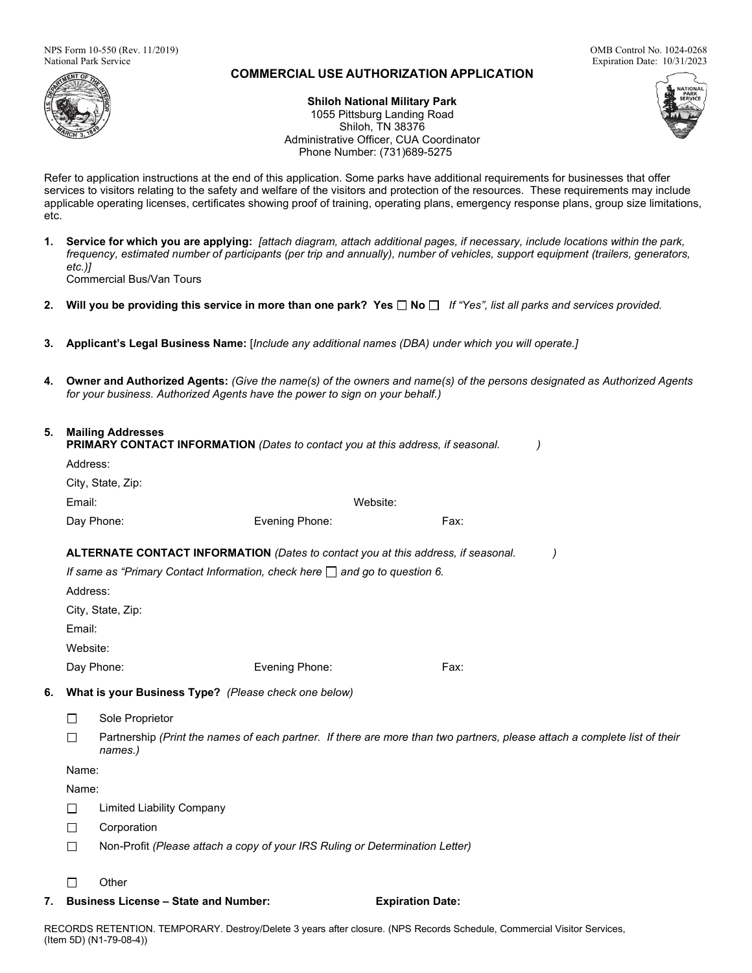

# **COMMERCIAL USE AUTHORIZATION APPLICATION**

Expiration Date: 10/31/2023

**Shiloh National Military Park** 1055 Pittsburg Landing Road Shiloh, TN 38376 Administrative Officer, CUA Coordinator Phone Number: (731)689-5275

Refer to application instructions at the end of this application. Some parks have additional requirements for businesses that offer services to visitors relating to the safety and welfare of the visitors and protection of the resources. These requirements may include applicable operating licenses, certificates showing proof of training, operating plans, emergency response plans, group size limitations, etc.

- **1. Service for which you are applying:** *[attach diagram, attach additional pages, if necessary, include locations within the park, frequency, estimated number of participants (per trip and annually), number of vehicles, support equipment (trailers, generators, etc.)]* Commercial Bus/Van Tours
- **2. Will you be providing this service in more than one park? Yes No** *If "Yes", list all parks and services provided.*
- **3. Applicant's Legal Business Name:** [*Include any additional names (DBA) under which you will operate.]*
- **4. Owner and Authorized Agents:** *(Give the name(s) of the owners and name(s) of the persons designated as Authorized Agents for your business. Authorized Agents have the power to sign on your behalf.)*

# **5. Mailing Addresses**

| <b>PRIMARY CONTACT INFORMATION</b> (Dates to contact you at this address, if seasonal. |                                                                                  |                             |                                                                                                                           |      |  |  |  |  |
|----------------------------------------------------------------------------------------|----------------------------------------------------------------------------------|-----------------------------|---------------------------------------------------------------------------------------------------------------------------|------|--|--|--|--|
|                                                                                        |                                                                                  | Address:                    |                                                                                                                           |      |  |  |  |  |
|                                                                                        |                                                                                  | City, State, Zip:           |                                                                                                                           |      |  |  |  |  |
|                                                                                        | Email:                                                                           |                             | Website:                                                                                                                  |      |  |  |  |  |
|                                                                                        |                                                                                  | Day Phone:                  | Evening Phone:                                                                                                            | Fax: |  |  |  |  |
| ALTERNATE CONTACT INFORMATION (Dates to contact you at this address, if seasonal.      |                                                                                  |                             |                                                                                                                           |      |  |  |  |  |
|                                                                                        | If same as "Primary Contact Information, check here $\Box$ and go to question 6. |                             |                                                                                                                           |      |  |  |  |  |
|                                                                                        | Address:                                                                         |                             |                                                                                                                           |      |  |  |  |  |
|                                                                                        |                                                                                  | City, State, Zip:<br>Email: |                                                                                                                           |      |  |  |  |  |
|                                                                                        |                                                                                  |                             |                                                                                                                           |      |  |  |  |  |
|                                                                                        | Website:                                                                         |                             |                                                                                                                           |      |  |  |  |  |
|                                                                                        |                                                                                  | Day Phone:                  | Evening Phone:                                                                                                            | Fax: |  |  |  |  |
| 6.                                                                                     | What is your Business Type? (Please check one below)                             |                             |                                                                                                                           |      |  |  |  |  |
|                                                                                        |                                                                                  | Sole Proprietor             |                                                                                                                           |      |  |  |  |  |
|                                                                                        |                                                                                  | names.)                     | Partnership (Print the names of each partner. If there are more than two partners, please attach a complete list of their |      |  |  |  |  |

Name: Name:

- $\Box$ Limited Liability Company
- П Corporation
- $\Box$ Non-Profit *(Please attach a copy of your IRS Ruling or Determination Letter)*
- П **Other**
- **7. Business License – State and Number: Expiration Date:**

RECORDS RETENTION. TEMPORARY. Destroy/Delete 3 years after closure. (NPS Records Schedule, Commercial Visitor Services, (Item 5D) (N1-79-08-4))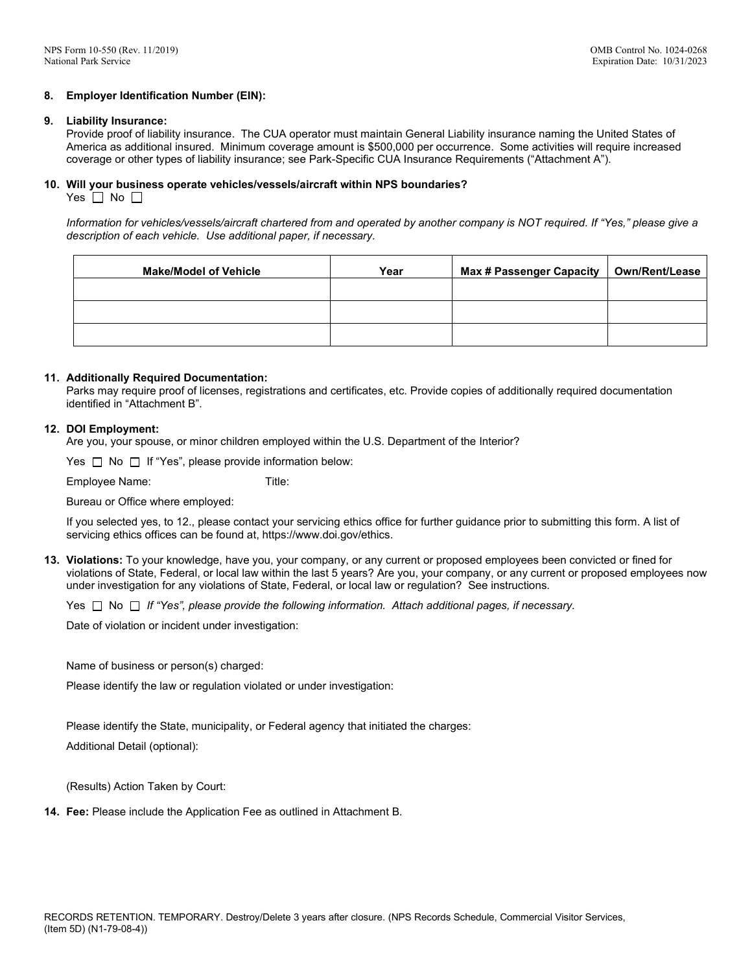#### **8. Employer Identification Number (EIN):**

#### **9. Liability Insurance:**

Provide proof of liability insurance. The CUA operator must maintain General Liability insurance naming the United States of America as additional insured. Minimum coverage amount is \$500,000 per occurrence. Some activities will require increased coverage or other types of liability insurance; see Park-Specific CUA Insurance Requirements ("Attachment A").

# **10. Will your business operate vehicles/vessels/aircraft within NPS boundaries?**

Yes  $\Box$  No  $\Box$ 

*Information for vehicles/vessels/aircraft chartered from and operated by another company is NOT required. If "Yes," please give a description of each vehicle. Use additional paper, if necessary.* 

| <b>Make/Model of Vehicle</b> | Year | <b>Max # Passenger Capacity</b> | Own/Rent/Lease |
|------------------------------|------|---------------------------------|----------------|
|                              |      |                                 |                |
|                              |      |                                 |                |
|                              |      |                                 |                |

#### **11. Additionally Required Documentation:**

Parks may require proof of licenses, registrations and certificates, etc. Provide copies of additionally required documentation identified in "Attachment B".

#### **12. DOI Employment:**

Are you, your spouse, or minor children employed within the U.S. Department of the Interior?

Yes  $\Box$  No  $\Box$  If "Yes", please provide information below:

Employee Name: Title:

Bureau or Office where employed:

If you selected yes, to 12., please contact your servicing ethics office for further guidance prior to submitting this form. A list of servicing ethics offices can be found at, https://www.doi.gov/ethics.

**13. Violations:** To your knowledge, have you, your company, or any current or proposed employees been convicted or fined for violations of State, Federal, or local law within the last 5 years? Are you, your company, or any current or proposed employees now under investigation for any violations of State, Federal, or local law or regulation? See instructions.

Yes  $\Box$  No  $\Box$  If "Yes", please provide the following information. Attach additional pages, if necessary.

Date of violation or incident under investigation:

Name of business or person(s) charged:

Please identify the law or regulation violated or under investigation:

Please identify the State, municipality, or Federal agency that initiated the charges:

Additional Detail (optional):

(Results) Action Taken by Court:

**14. Fee:** Please include the Application Fee as outlined in Attachment B.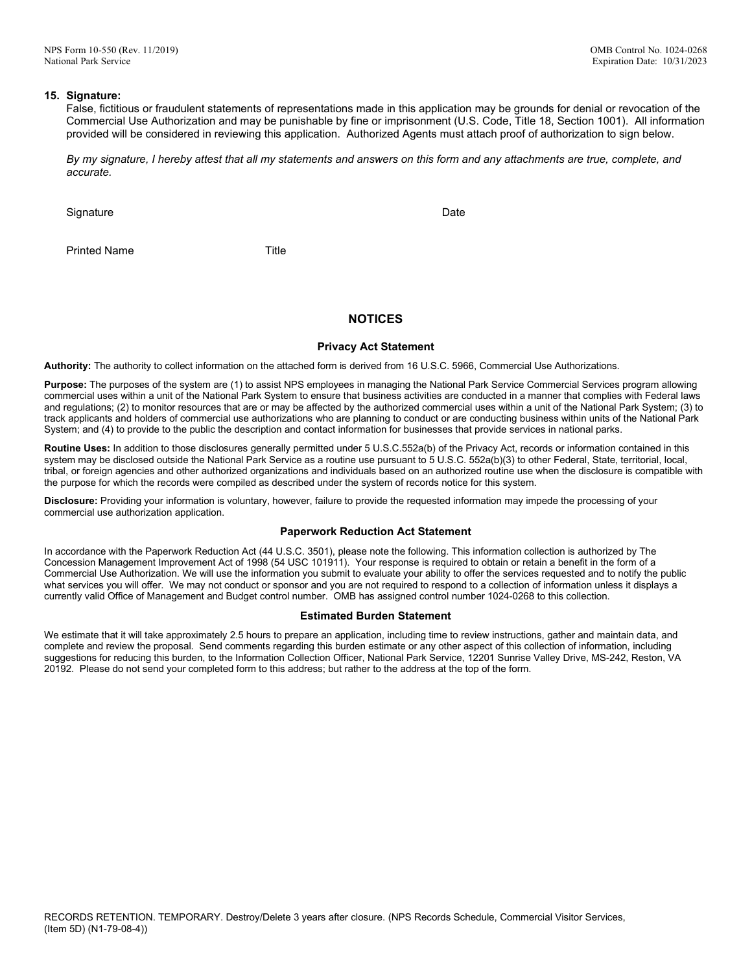#### **15. Signature:**

False, fictitious or fraudulent statements of representations made in this application may be grounds for denial or revocation of the Commercial Use Authorization and may be punishable by fine or imprisonment (U.S. Code, Title 18, Section 1001). All information provided will be considered in reviewing this application. Authorized Agents must attach proof of authorization to sign below.

*By my signature, I hereby attest that all my statements and answers on this form and any attachments are true, complete, and accurate.*

Signature Date Date of the Contract of the Contract of the Contract of the Date Date Date

Printed Name Title

## **NOTICES**

#### **Privacy Act Statement**

**Authority:** The authority to collect information on the attached form is derived from 16 U.S.C. 5966, Commercial Use Authorizations.

**Purpose:** The purposes of the system are (1) to assist NPS employees in managing the National Park Service Commercial Services program allowing commercial uses within a unit of the National Park System to ensure that business activities are conducted in a manner that complies with Federal laws and regulations; (2) to monitor resources that are or may be affected by the authorized commercial uses within a unit of the National Park System; (3) to track applicants and holders of commercial use authorizations who are planning to conduct or are conducting business within units of the National Park System; and (4) to provide to the public the description and contact information for businesses that provide services in national parks.

**Routine Uses:** In addition to those disclosures generally permitted under 5 U.S.C.552a(b) of the Privacy Act, records or information contained in this system may be disclosed outside the National Park Service as a routine use pursuant to 5 U.S.C. 552a(b)(3) to other Federal, State, territorial, local, tribal, or foreign agencies and other authorized organizations and individuals based on an authorized routine use when the disclosure is compatible with the purpose for which the records were compiled as described under the system of records notice for this system.

**Disclosure:** Providing your information is voluntary, however, failure to provide the requested information may impede the processing of your commercial use authorization application.

#### **Paperwork Reduction Act Statement**

In accordance with the Paperwork Reduction Act (44 U.S.C. 3501), please note the following. This information collection is authorized by The Concession Management Improvement Act of 1998 (54 USC 101911). Your response is required to obtain or retain a benefit in the form of a Commercial Use Authorization. We will use the information you submit to evaluate your ability to offer the services requested and to notify the public what services you will offer. We may not conduct or sponsor and you are not required to respond to a collection of information unless it displays a currently valid Office of Management and Budget control number. OMB has assigned control number 1024-0268 to this collection.

#### **Estimated Burden Statement**

We estimate that it will take approximately 2.5 hours to prepare an application, including time to review instructions, gather and maintain data, and complete and review the proposal. Send comments regarding this burden estimate or any other aspect of this collection of information, including suggestions for reducing this burden, to the Information Collection Officer, National Park Service, 12201 Sunrise Valley Drive, MS-242, Reston, VA 20192. Please do not send your completed form to this address; but rather to the address at the top of the form.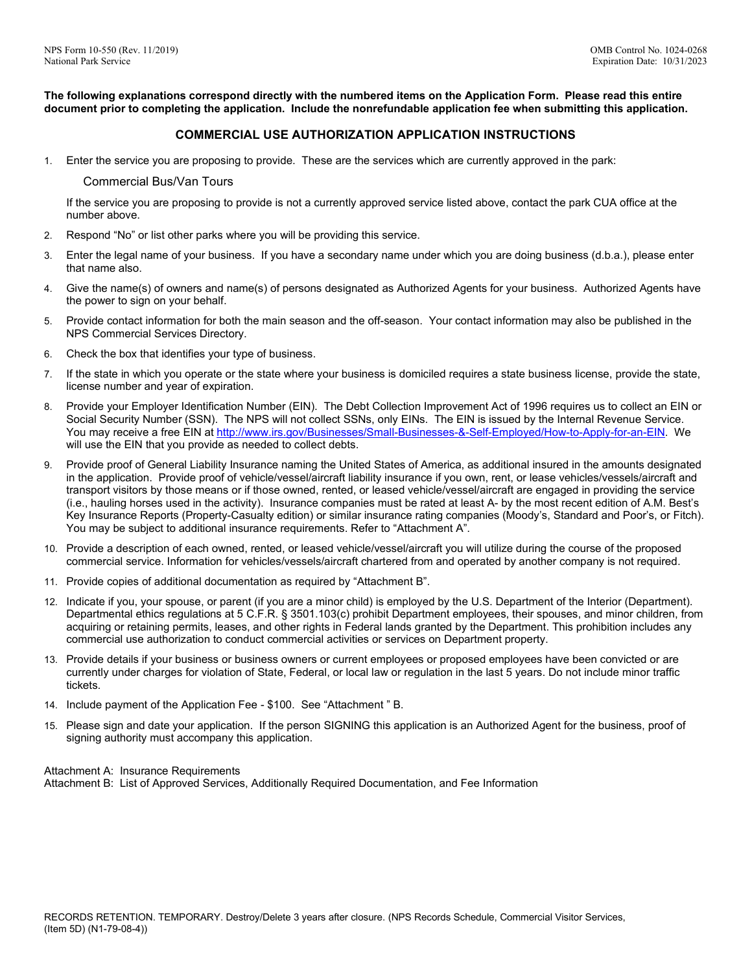**The following explanations correspond directly with the numbered items on the Application Form. Please read this entire document prior to completing the application. Include the nonrefundable application fee when submitting this application.**

# **COMMERCIAL USE AUTHORIZATION APPLICATION INSTRUCTIONS**

1. Enter the service you are proposing to provide. These are the services which are currently approved in the park:

## Commercial Bus/Van Tours

If the service you are proposing to provide is not a currently approved service listed above, contact the park CUA office at the number above.

- 2. Respond "No" or list other parks where you will be providing this service.
- 3. Enter the legal name of your business. If you have a secondary name under which you are doing business (d.b.a.), please enter that name also.
- 4. Give the name(s) of owners and name(s) of persons designated as Authorized Agents for your business. Authorized Agents have the power to sign on your behalf.
- 5. Provide contact information for both the main season and the off-season. Your contact information may also be published in the NPS Commercial Services Directory.
- 6. Check the box that identifies your type of business.
- 7. If the state in which you operate or the state where your business is domiciled requires a state business license, provide the state, license number and year of expiration.
- 8. Provide your Employer Identification Number (EIN). The Debt Collection Improvement Act of 1996 requires us to collect an EIN or Social Security Number (SSN). The NPS will not collect SSNs, only EINs. The EIN is issued by the Internal Revenue Service. You may receive a free EIN a[t http://www.irs.gov/Businesses/Small-Businesses-&-Self-Employed/How-to-Apply-for-an-EIN.](http://www.irs.gov/Businesses/Small-Businesses-&-Self-Employed/How-to-Apply-for-an-EIN) We will use the EIN that you provide as needed to collect debts.
- 9. Provide proof of General Liability Insurance naming the United States of America, as additional insured in the amounts designated in the application. Provide proof of vehicle/vessel/aircraft liability insurance if you own, rent, or lease vehicles/vessels/aircraft and transport visitors by those means or if those owned, rented, or leased vehicle/vessel/aircraft are engaged in providing the service (i.e., hauling horses used in the activity). Insurance companies must be rated at least A- by the most recent edition of A.M. Best's Key Insurance Reports (Property-Casualty edition) or similar insurance rating companies (Moody's, Standard and Poor's, or Fitch). You may be subject to additional insurance requirements. Refer to "Attachment A".
- 10. Provide a description of each owned, rented, or leased vehicle/vessel/aircraft you will utilize during the course of the proposed commercial service. Information for vehicles/vessels/aircraft chartered from and operated by another company is not required.
- 11. Provide copies of additional documentation as required by "Attachment B".
- 12. Indicate if you, your spouse, or parent (if you are a minor child) is employed by the U.S. Department of the Interior (Department). Departmental ethics regulations at 5 C.F.R. § 3501.103(c) prohibit Department employees, their spouses, and minor children, from acquiring or retaining permits, leases, and other rights in Federal lands granted by the Department. This prohibition includes any commercial use authorization to conduct commercial activities or services on Department property.
- 13. Provide details if your business or business owners or current employees or proposed employees have been convicted or are currently under charges for violation of State, Federal, or local law or regulation in the last 5 years. Do not include minor traffic tickets.
- 14. Include payment of the Application Fee \$100. See "Attachment " B.
- 15. Please sign and date your application. If the person SIGNING this application is an Authorized Agent for the business, proof of signing authority must accompany this application.

Attachment A: Insurance Requirements Attachment B: List of Approved Services, Additionally Required Documentation, and Fee Information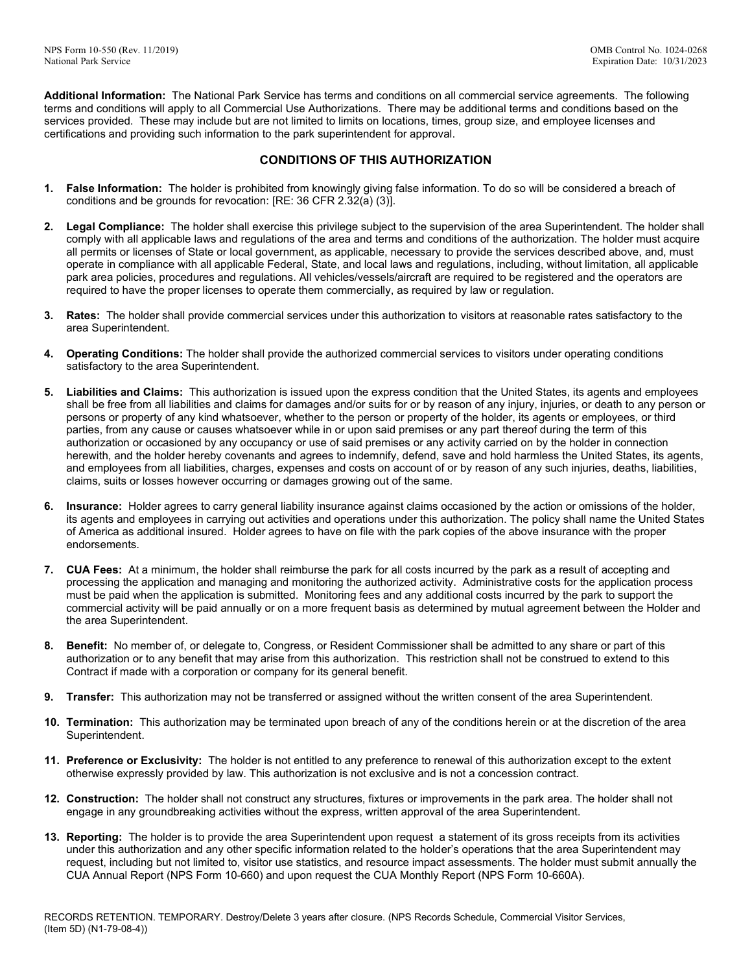**Additional Information:** The National Park Service has terms and conditions on all commercial service agreements. The following terms and conditions will apply to all Commercial Use Authorizations. There may be additional terms and conditions based on the services provided. These may include but are not limited to limits on locations, times, group size, and employee licenses and certifications and providing such information to the park superintendent for approval.

# **CONDITIONS OF THIS AUTHORIZATION**

- **1. False Information:** The holder is prohibited from knowingly giving false information. To do so will be considered a breach of conditions and be grounds for revocation: [RE: 36 CFR 2.32(a) (3)].
- **2. Legal Compliance:** The holder shall exercise this privilege subject to the supervision of the area Superintendent. The holder shall comply with all applicable laws and regulations of the area and terms and conditions of the authorization. The holder must acquire all permits or licenses of State or local government, as applicable, necessary to provide the services described above, and, must operate in compliance with all applicable Federal, State, and local laws and regulations, including, without limitation, all applicable park area policies, procedures and regulations. All vehicles/vessels/aircraft are required to be registered and the operators are required to have the proper licenses to operate them commercially, as required by law or regulation.
- **3. Rates:** The holder shall provide commercial services under this authorization to visitors at reasonable rates satisfactory to the area Superintendent.
- **4. Operating Conditions:** The holder shall provide the authorized commercial services to visitors under operating conditions satisfactory to the area Superintendent.
- **5. Liabilities and Claims:** This authorization is issued upon the express condition that the United States, its agents and employees shall be free from all liabilities and claims for damages and/or suits for or by reason of any injury, injuries, or death to any person or persons or property of any kind whatsoever, whether to the person or property of the holder, its agents or employees, or third parties, from any cause or causes whatsoever while in or upon said premises or any part thereof during the term of this authorization or occasioned by any occupancy or use of said premises or any activity carried on by the holder in connection herewith, and the holder hereby covenants and agrees to indemnify, defend, save and hold harmless the United States, its agents, and employees from all liabilities, charges, expenses and costs on account of or by reason of any such injuries, deaths, liabilities, claims, suits or losses however occurring or damages growing out of the same.
- **6. Insurance:** Holder agrees to carry general liability insurance against claims occasioned by the action or omissions of the holder, its agents and employees in carrying out activities and operations under this authorization. The policy shall name the United States of America as additional insured. Holder agrees to have on file with the park copies of the above insurance with the proper endorsements.
- **7. CUA Fees:** At a minimum, the holder shall reimburse the park for all costs incurred by the park as a result of accepting and processing the application and managing and monitoring the authorized activity. Administrative costs for the application process must be paid when the application is submitted. Monitoring fees and any additional costs incurred by the park to support the commercial activity will be paid annually or on a more frequent basis as determined by mutual agreement between the Holder and the area Superintendent.
- **8. Benefit:** No member of, or delegate to, Congress, or Resident Commissioner shall be admitted to any share or part of this authorization or to any benefit that may arise from this authorization. This restriction shall not be construed to extend to this Contract if made with a corporation or company for its general benefit.
- **9. Transfer:** This authorization may not be transferred or assigned without the written consent of the area Superintendent.
- **10. Termination:** This authorization may be terminated upon breach of any of the conditions herein or at the discretion of the area Superintendent.
- **11. Preference or Exclusivity:** The holder is not entitled to any preference to renewal of this authorization except to the extent otherwise expressly provided by law. This authorization is not exclusive and is not a concession contract.
- **12. Construction:** The holder shall not construct any structures, fixtures or improvements in the park area. The holder shall not engage in any groundbreaking activities without the express, written approval of the area Superintendent.
- **13. Reporting:** The holder is to provide the area Superintendent upon request a statement of its gross receipts from its activities under this authorization and any other specific information related to the holder's operations that the area Superintendent may request, including but not limited to, visitor use statistics, and resource impact assessments. The holder must submit annually the CUA Annual Report (NPS Form 10-660) and upon request the CUA Monthly Report (NPS Form 10-660A).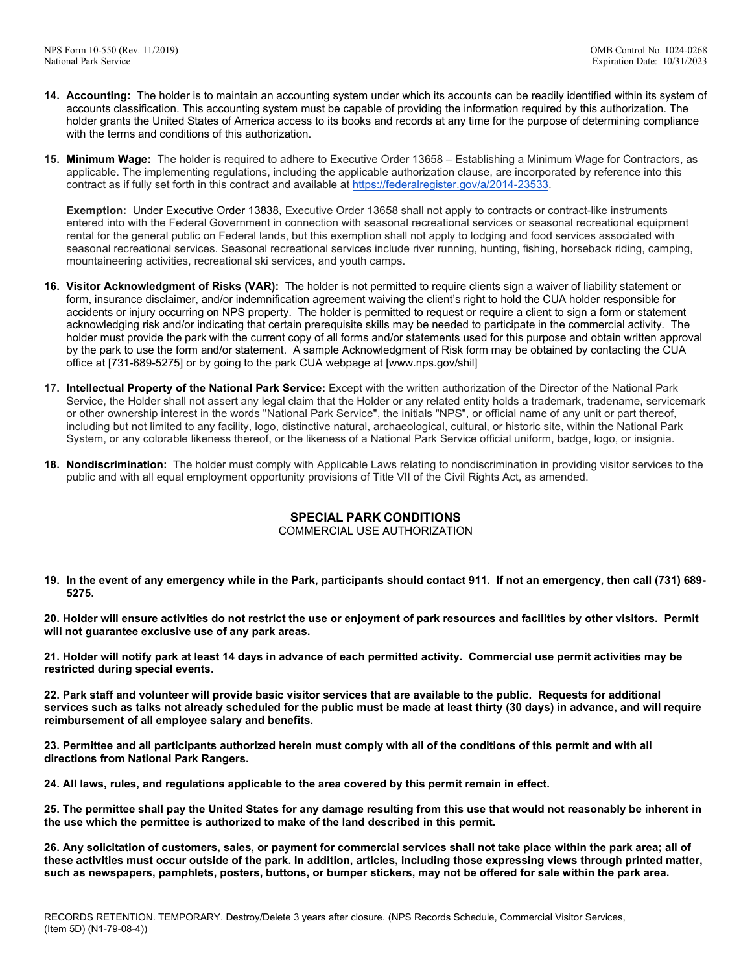- **14. Accounting:** The holder is to maintain an accounting system under which its accounts can be readily identified within its system of accounts classification. This accounting system must be capable of providing the information required by this authorization. The holder grants the United States of America access to its books and records at any time for the purpose of determining compliance with the terms and conditions of this authorization.
- **15. Minimum Wage:** The holder is required to adhere to Executive Order 13658 Establishing a Minimum Wage for Contractors, as applicable. The implementing regulations, including the applicable authorization clause, are incorporated by reference into this contract as if fully set forth in this contract and available at [https://federalregister.gov/a/2014-23533.](https://federalregister.gov/a/2014-23533)

**Exemption:** Under Executive Order 13838, Executive Order 13658 shall not apply to contracts or contract-like instruments entered into with the Federal Government in connection with seasonal recreational services or seasonal recreational equipment rental for the general public on Federal lands, but this exemption shall not apply to lodging and food services associated with seasonal recreational services. Seasonal recreational services include river running, hunting, fishing, horseback riding, camping, mountaineering activities, recreational ski services, and youth camps.

- **16. Visitor Acknowledgment of Risks (VAR):** The holder is not permitted to require clients sign a waiver of liability statement or form, insurance disclaimer, and/or indemnification agreement waiving the client's right to hold the CUA holder responsible for accidents or injury occurring on NPS property. The holder is permitted to request or require a client to sign a form or statement acknowledging risk and/or indicating that certain prerequisite skills may be needed to participate in the commercial activity. The holder must provide the park with the current copy of all forms and/or statements used for this purpose and obtain written approval by the park to use the form and/or statement. A sample Acknowledgment of Risk form may be obtained by contacting the CUA office at [731-689-5275] or by going to the park CUA webpage at [www.nps.gov/shil]
- **17. Intellectual Property of the National Park Service:** Except with the written authorization of the Director of the National Park Service, the Holder shall not assert any legal claim that the Holder or any related entity holds a trademark, tradename, servicemark or other ownership interest in the words "National Park Service", the initials "NPS", or official name of any unit or part thereof, including but not limited to any facility, logo, distinctive natural, archaeological, cultural, or historic site, within the National Park System, or any colorable likeness thereof, or the likeness of a National Park Service official uniform, badge, logo, or insignia.
- **18. Nondiscrimination:** The holder must comply with Applicable Laws relating to nondiscrimination in providing visitor services to the public and with all equal employment opportunity provisions of Title VII of the Civil Rights Act, as amended.

# **SPECIAL PARK CONDITIONS**

# COMMERCIAL USE AUTHORIZATION

**19. In the event of any emergency while in the Park, participants should contact 911. If not an emergency, then call (731) 689- 5275.**

**20. Holder will ensure activities do not restrict the use or enjoyment of park resources and facilities by other visitors. Permit will not guarantee exclusive use of any park areas.**

**21. Holder will notify park at least 14 days in advance of each permitted activity. Commercial use permit activities may be restricted during special events.**

**22. Park staff and volunteer will provide basic visitor services that are available to the public. Requests for additional services such as talks not already scheduled for the public must be made at least thirty (30 days) in advance, and will require reimbursement of all employee salary and benefits.**

**23. Permittee and all participants authorized herein must comply with all of the conditions of this permit and with all directions from National Park Rangers.**

**24. All laws, rules, and regulations applicable to the area covered by this permit remain in effect.**

**25. The permittee shall pay the United States for any damage resulting from this use that would not reasonably be inherent in the use which the permittee is authorized to make of the land described in this permit.**

**26. Any solicitation of customers, sales, or payment for commercial services shall not take place within the park area; all of these activities must occur outside of the park. In addition, articles, including those expressing views through printed matter, such as newspapers, pamphlets, posters, buttons, or bumper stickers, may not be offered for sale within the park area.**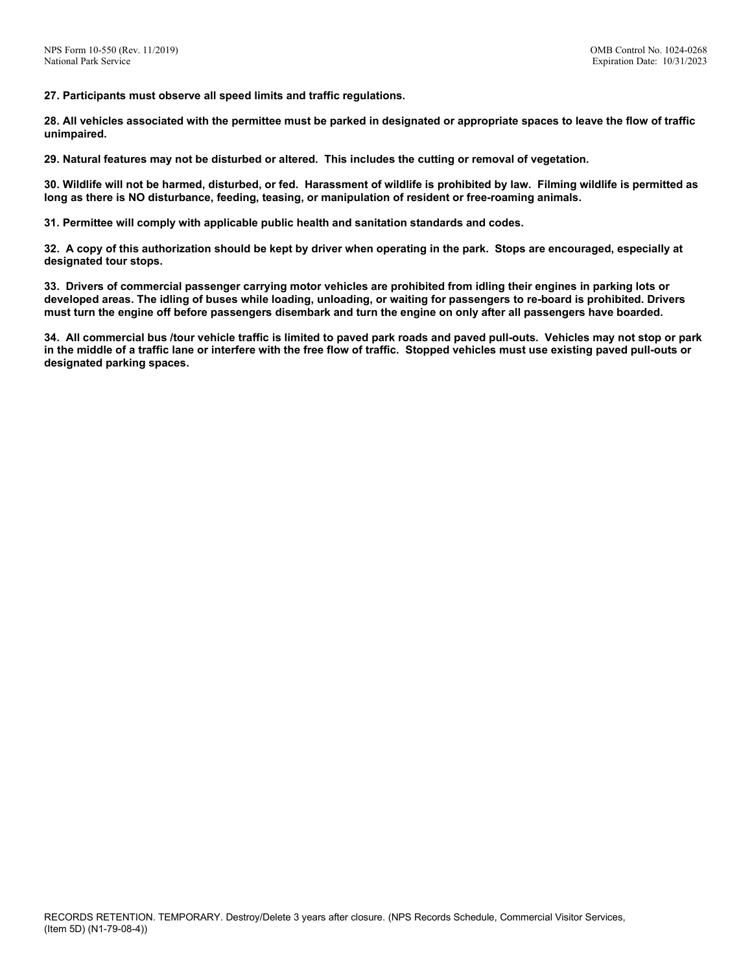**27. Participants must observe all speed limits and traffic regulations.**

**28. All vehicles associated with the permittee must be parked in designated or appropriate spaces to leave the flow of traffic unimpaired.**

**29. Natural features may not be disturbed or altered. This includes the cutting or removal of vegetation.**

**30. Wildlife will not be harmed, disturbed, or fed. Harassment of wildlife is prohibited by law. Filming wildlife is permitted as long as there is NO disturbance, feeding, teasing, or manipulation of resident or free-roaming animals.**

**31. Permittee will comply with applicable public health and sanitation standards and codes.**

**32. A copy of this authorization should be kept by driver when operating in the park. Stops are encouraged, especially at designated tour stops.**

**33. Drivers of commercial passenger carrying motor vehicles are prohibited from idling their engines in parking lots or developed areas. The idling of buses while loading, unloading, or waiting for passengers to re-board is prohibited. Drivers must turn the engine off before passengers disembark and turn the engine on only after all passengers have boarded.**

**34. All commercial bus /tour vehicle traffic is limited to paved park roads and paved pull-outs. Vehicles may not stop or park in the middle of a traffic lane or interfere with the free flow of traffic. Stopped vehicles must use existing paved pull-outs or designated parking spaces.**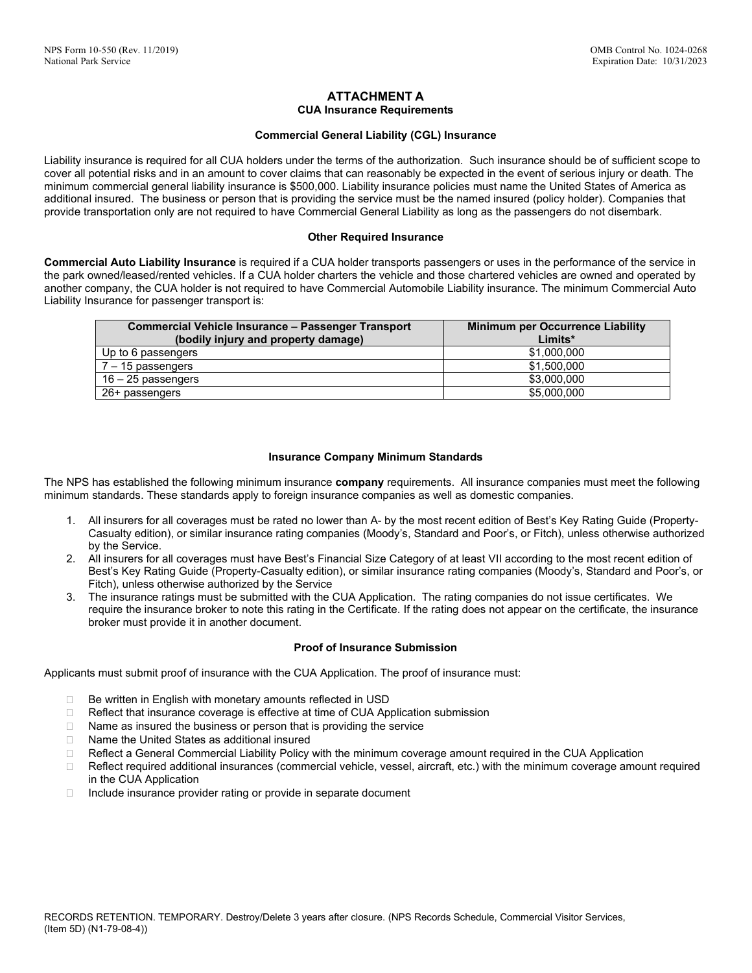## **ATTACHMENT A CUA Insurance Requirements**

## **Commercial General Liability (CGL) Insurance**

Liability insurance is required for all CUA holders under the terms of the authorization. Such insurance should be of sufficient scope to cover all potential risks and in an amount to cover claims that can reasonably be expected in the event of serious injury or death. The minimum commercial general liability insurance is \$500,000. Liability insurance policies must name the United States of America as additional insured. The business or person that is providing the service must be the named insured (policy holder). Companies that provide transportation only are not required to have Commercial General Liability as long as the passengers do not disembark.

## **Other Required Insurance**

**Commercial Auto Liability Insurance** is required if a CUA holder transports passengers or uses in the performance of the service in the park owned/leased/rented vehicles. If a CUA holder charters the vehicle and those chartered vehicles are owned and operated by another company, the CUA holder is not required to have Commercial Automobile Liability insurance. The minimum Commercial Auto Liability Insurance for passenger transport is:

| <b>Commercial Vehicle Insurance - Passenger Transport</b><br>(bodily injury and property damage) | <b>Minimum per Occurrence Liability</b><br>Limits* |
|--------------------------------------------------------------------------------------------------|----------------------------------------------------|
| Up to 6 passengers                                                                               | \$1,000,000                                        |
| 7 – 15 passengers                                                                                | \$1,500,000                                        |
| $16 - 25$ passengers                                                                             | \$3,000,000                                        |
| 26+ passengers                                                                                   | \$5,000,000                                        |

## **Insurance Company Minimum Standards**

The NPS has established the following minimum insurance **company** requirements. All insurance companies must meet the following minimum standards. These standards apply to foreign insurance companies as well as domestic companies.

- 1. All insurers for all coverages must be rated no lower than A- by the most recent edition of Best's Key Rating Guide (Property-Casualty edition), or similar insurance rating companies (Moody's, Standard and Poor's, or Fitch), unless otherwise authorized by the Service.
- 2. All insurers for all coverages must have Best's Financial Size Category of at least VII according to the most recent edition of Best's Key Rating Guide (Property-Casualty edition), or similar insurance rating companies (Moody's, Standard and Poor's, or Fitch), unless otherwise authorized by the Service
- 3. The insurance ratings must be submitted with the CUA Application. The rating companies do not issue certificates. We require the insurance broker to note this rating in the Certificate. If the rating does not appear on the certificate, the insurance broker must provide it in another document.

#### **Proof of Insurance Submission**

Applicants must submit proof of insurance with the CUA Application. The proof of insurance must:

- $\Box$  Be written in English with monetary amounts reflected in USD
- □ Reflect that insurance coverage is effective at time of CUA Application submission
- $\Box$  Name as insured the business or person that is providing the service
- □ Name the United States as additional insured
- □ Reflect a General Commercial Liability Policy with the minimum coverage amount required in the CUA Application
- $\Box$  Reflect required additional insurances (commercial vehicle, vessel, aircraft, etc.) with the minimum coverage amount required in the CUA Application
- $\Box$  Include insurance provider rating or provide in separate document